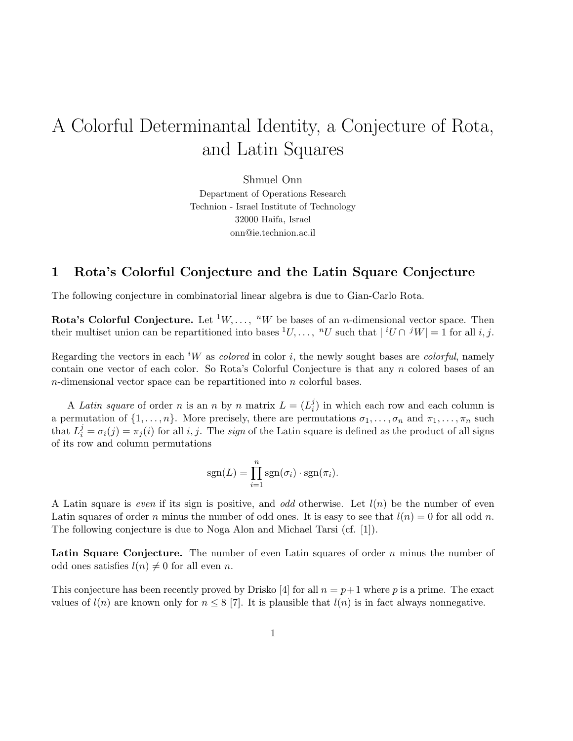# A Colorful Determinantal Identity, a Conjecture of Rota, and Latin Squares

Shmuel Onn Department of Operations Research Technion - Israel Institute of Technology 32000 Haifa, Israel onn@ie.technion.ac.il

#### 1 Rota's Colorful Conjecture and the Latin Square Conjecture

The following conjecture in combinatorial linear algebra is due to Gian-Carlo Rota.

**Rota's Colorful Conjecture.** Let  $^1W, \ldots, ^nW$  be bases of an *n*-dimensional vector space. Then their multiset union can be repartitioned into bases  $^1U, \ldots, ^nU$  such that  $|^iU \cap {}^jW|=1$  for all i, j.

Regarding the vectors in each <sup>i</sup>W as *colored* in color i, the newly sought bases are *colorful*, namely contain one vector of each color. So Rota's Colorful Conjecture is that any n colored bases of an n-dimensional vector space can be repartitioned into n colorful bases.

A Latin square of order n is an n by n matrix  $L = (L_i^j)$  $i$ ) in which each row and each column is a permutation of  $\{1,\ldots,n\}$ . More precisely, there are permutations  $\sigma_1,\ldots,\sigma_n$  and  $\pi_1,\ldots,\pi_n$  such that  $L_i^j = \sigma_i(j) = \pi_j(i)$  for all i, j. The sign of the Latin square is defined as the product of all signs of its row and column permutations

$$
sgn(L) = \prod_{i=1}^{n} sgn(\sigma_i) \cdot sgn(\pi_i).
$$

A Latin square is even if its sign is positive, and odd otherwise. Let  $l(n)$  be the number of even Latin squares of order n minus the number of odd ones. It is easy to see that  $l(n) = 0$  for all odd n. The following conjecture is due to Noga Alon and Michael Tarsi (cf. [1]).

**Latin Square Conjecture.** The number of even Latin squares of order  $n$  minus the number of odd ones satisfies  $l(n) \neq 0$  for all even n.

This conjecture has been recently proved by Drisko [4] for all  $n = p+1$  where p is a prime. The exact values of  $l(n)$  are known only for  $n \leq 8$  [7]. It is plausible that  $l(n)$  is in fact always nonnegative.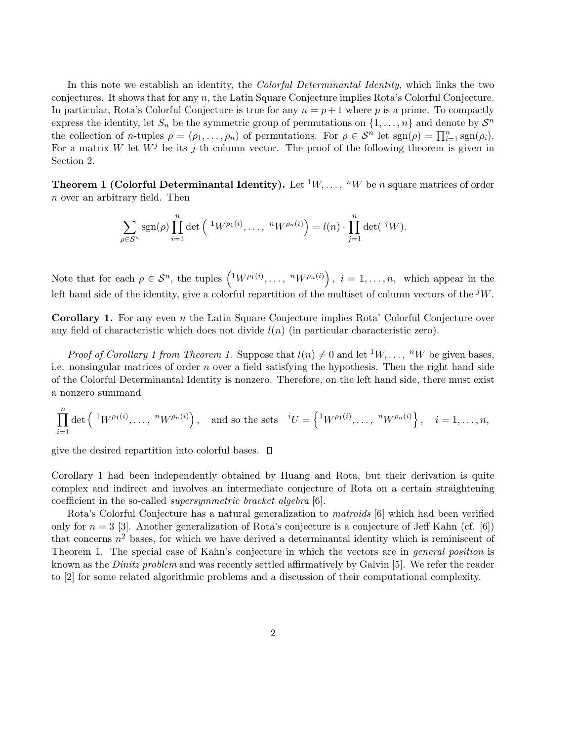In this note we establish an identity, the *Colorful Determinantal Identity*, which links the two conjectures. It shows that for any n, the Latin Square Conjecture implies Rota's Colorful Conjecture. In particular, Rota's Colorful Conjecture is true for any  $n = p + 1$  where p is a prime. To compactly express the identity, let  $S_n$  be the symmetric group of permutations on  $\{1, \ldots, n\}$  and denote by  $S^n$ the collection of *n*-tuples  $\rho = (\rho_1, ..., \rho_n)$  of permutations. For  $\rho \in S^n$  let  $sgn(\rho) = \prod_{i=1}^n sgn(\rho_i)$ . For a matrix W let  $W^j$  be its j-th column vector. The proof of the following theorem is given in Section 2.

**Theorem 1 (Colorful Determinantal Identity).** Let  $^1W, \ldots, ^nW$  be n square matrices of order n over an arbitrary field. Then

$$
\sum_{\rho \in \mathcal{S}^n} \text{sgn}(\rho) \prod_{i=1}^n \det \left( \, ^1W^{\rho_1(i)}, \ldots, \, ^nW^{\rho_n(i)} \right) = l(n) \cdot \prod_{j=1}^n \det \left( \, ^jW \right).
$$

Note that for each  $\rho \in \mathcal{S}^n$ , the tuples  $\left( {}^1W^{\rho_1(i)}, \ldots, {}^nW^{\rho_n(i)} \right)$ ´  $i = 1, \ldots, n$ , which appear in the left hand side of the identity, give a colorful repartition of the multiset of column vectors of the  ${}^{j}W$ .

Corollary 1. For any even n the Latin Square Conjecture implies Rota' Colorful Conjecture over any field of characteristic which does not divide  $l(n)$  (in particular characteristic zero).

*Proof of Corollary 1 from Theorem 1.* Suppose that  $l(n) \neq 0$  and let <sup>1</sup>W, ..., <sup>n</sup>W be given bases, i.e. nonsingular matrices of order n over a field satisfying the hypothesis. Then the right hand side of the Colorful Determinantal Identity is nonzero. Therefore, on the left hand side, there must exist a nonzero summand

$$
\prod_{i=1}^n \det\left(\begin{array}{c}1_W\rho_1(i),\ldots,\ {}^nW\rho_n(i)\end{array}\right),\quad\text{and so the sets}\quad {}^iU=\left\{\begin{array}{c}1_W\rho_1(i),\ldots,\ {}^nW\rho_n(i)\end{array}\right\},\quad i=1,\ldots,n,
$$

give the desired repartition into colorful bases.  $\Box$ 

Corollary 1 had been independently obtained by Huang and Rota, but their derivation is quite complex and indirect and involves an intermediate conjecture of Rota on a certain straightening coefficient in the so-called supersymmetric bracket algebra [6].

Rota's Colorful Conjecture has a natural generalization to matroids [6] which had been verified only for  $n = 3$  [3]. Another generalization of Rota's conjecture is a conjecture of Jeff Kahn (cf. [6]) that concerns  $n^2$  bases, for which we have derived a determinantal identity which is reminiscent of Theorem 1. The special case of Kahn's conjecture in which the vectors are in *general position* is known as the *Dinitz problem* and was recently settled affirmatively by Galvin [5]. We refer the reader to [2] for some related algorithmic problems and a discussion of their computational complexity.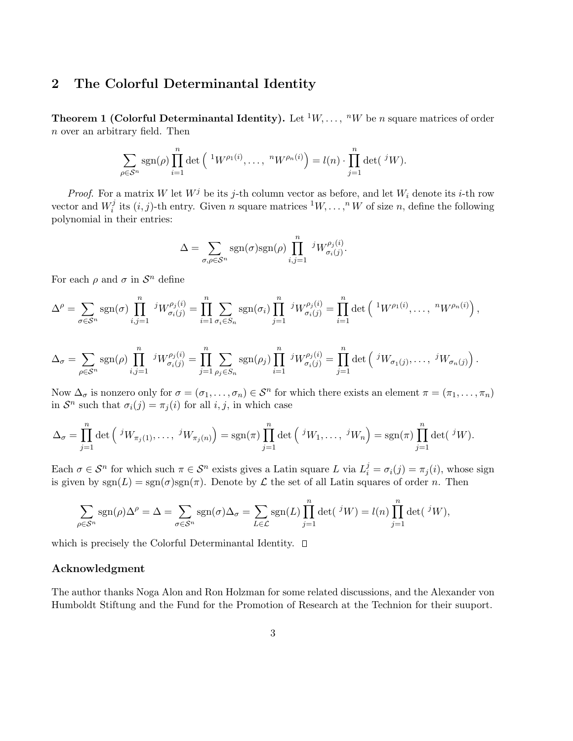### 2 The Colorful Determinantal Identity

**Theorem 1 (Colorful Determinantal Identity).** Let  $^1W, \ldots, ^nW$  be n square matrices of order n over an arbitrary field. Then

$$
\sum_{\rho \in \mathcal{S}^n} \text{sgn}(\rho) \prod_{i=1}^n \det \left( \ {}^1W^{\rho_1(i)}, \ldots, \ {}^nW^{\rho_n(i)} \right) = l(n) \cdot \prod_{j=1}^n \det \left( \ {}^jW \right).
$$

*Proof.* For a matrix W let  $W^j$  be its j-th column vector as before, and let  $W_i$  denote its i-th row vector and  $W_i^j$  $i_i^j$  its  $(i, j)$ -th entry. Given n square matrices  ${}^1W, \ldots, {}^nW$  of size n, define the following polynomial in their entries:

$$
\Delta = \sum_{\sigma,\rho \in \mathcal{S}^n} \text{sgn}(\sigma) \text{sgn}(\rho) \prod_{i,j=1}^n {}^{j}W_{\sigma_i(j)}^{\rho_j(i)}.
$$

For each  $\rho$  and  $\sigma$  in  $\mathcal{S}^n$  define

$$
\Delta^{\rho} = \sum_{\sigma \in \mathcal{S}^n} \text{sgn}(\sigma) \prod_{i,j=1}^n jW_{\sigma_i(j)}^{\rho_j(i)} = \prod_{i=1}^n \sum_{\sigma_i \in S_n} \text{sgn}(\sigma_i) \prod_{j=1}^n jW_{\sigma_i(j)}^{\rho_j(i)} = \prod_{i=1}^n \det \left( {}^1W^{\rho_1(i)}, \ldots, {}^nW^{\rho_n(i)} \right),
$$

$$
\Delta_{\sigma} = \sum_{\rho \in S^n} \operatorname{sgn}(\rho) \prod_{i,j=1}^n {}^{j}W_{\sigma_i(j)}^{\rho_j(i)} = \prod_{j=1}^n \sum_{\rho_j \in S_n} \operatorname{sgn}(\rho_j) \prod_{i=1}^n {}^{j}W_{\sigma_i(j)}^{\rho_j(i)} = \prod_{j=1}^n \det \left( {}^{j}W_{\sigma_1(j)}, \ldots, {}^{j}W_{\sigma_n(j)} \right).
$$

Now  $\Delta_{\sigma}$  is nonzero only for  $\sigma = (\sigma_1, \ldots, \sigma_n) \in \mathcal{S}^n$  for which there exists an element  $\pi = (\pi_1, \ldots, \pi_n)$ in  $S^n$  such that  $\sigma_i(j) = \pi_j(i)$  for all  $i, j$ , in which case

$$
\Delta_{\sigma} = \prod_{j=1}^{n} \det \left( \,^{j}W_{\pi_j(1)}, \ldots, \,^{j}W_{\pi_j(n)} \right) = \operatorname{sgn}(\pi) \prod_{j=1}^{n} \det \left( \,^{j}W_1, \ldots, \,^{j}W_n \right) = \operatorname{sgn}(\pi) \prod_{j=1}^{n} \det \left( \,^{j}W_j, \ldots, \,^{j}W_n \right)
$$

Each  $\sigma \in \mathcal{S}^n$  for which such  $\pi \in \mathcal{S}^n$  exists gives a Latin square L via  $L_i^j = \sigma_i(j) = \pi_j(i)$ , whose sign is given by  $sgn(L) = sgn(\sigma)sgn(\pi)$ . Denote by  $\mathcal L$  the set of all Latin squares of order n. Then

$$
\sum_{\rho \in \mathcal{S}^n} \text{sgn}(\rho) \Delta^{\rho} = \Delta = \sum_{\sigma \in \mathcal{S}^n} \text{sgn}(\sigma) \Delta_{\sigma} = \sum_{L \in \mathcal{L}} \text{sgn}(L) \prod_{j=1}^n \det(\,^j W) = l(n) \prod_{j=1}^n \det(\,^j W),
$$

which is precisely the Colorful Determinantal Identity.  $\square$ 

#### Acknowledgment

The author thanks Noga Alon and Ron Holzman for some related discussions, and the Alexander von Humboldt Stiftung and the Fund for the Promotion of Research at the Technion for their suuport.